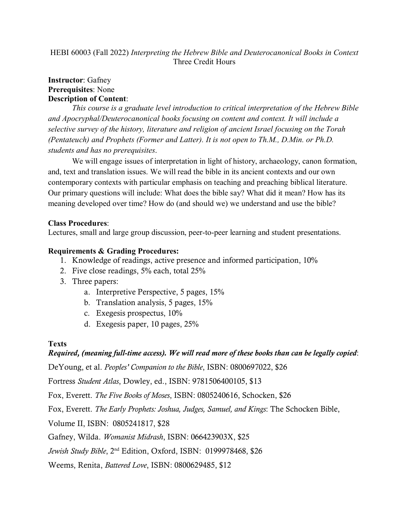HEBI 60003 (Fall 2022) *Interpreting the Hebrew Bible and Deuterocanonical Books in Context* Three Credit Hours

## **Instructor**: Gafney **Prerequisites**: None **Description of Content**:

*This course is a graduate level introduction to critical interpretation of the Hebrew Bible and Apocryphal/Deuterocanonical books focusing on content and context. It will include a selective survey of the history, literature and religion of ancient Israel focusing on the Torah (Pentateuch) and Prophets (Former and Latter). It is not open to Th.M., D.Min. or Ph.D. students and has no prerequisites*.

We will engage issues of interpretation in light of history, archaeology, canon formation, and, text and translation issues. We will read the bible in its ancient contexts and our own contemporary contexts with particular emphasis on teaching and preaching biblical literature. Our primary questions will include: What does the bible say? What did it mean? How has its meaning developed over time? How do (and should we) we understand and use the bible?

# **Class Procedures**:

Lectures, small and large group discussion, peer-to-peer learning and student presentations.

## **Requirements & Grading Procedures:**

- 1. Knowledge of readings, active presence and informed participation, 10%
- 2. Five close readings, 5% each, total 25%
- 3. Three papers:
	- a. Interpretive Perspective, 5 pages, 15%
	- b. Translation analysis, 5 pages, 15%
	- c. Exegesis prospectus, 10%
	- d. Exegesis paper, 10 pages, 25%

### **Texts**

# *Required, (meaning full-time access). We will read more of these books than can be legally copied*:

DeYoung, et al. *Peoples' Companion to the Bible*, ISBN: 0800697022, \$26

Fortress *Student Atlas*, Dowley, ed., ISBN: 9781506400105, \$13

Fox, Everett. *The Five Books of Moses*, ISBN: 0805240616, Schocken, \$26

Fox, Everett. *The Early Prophets: Joshua, Judges, Samuel, and Kings*: The Schocken Bible,

Volume II, ISBN: 0805241817, \$28

Gafney, Wilda. *Womanist Midrash*, ISBN: 066423903X, \$25

*Jewish Study Bible*, 2nd Edition, Oxford, ISBN: 0199978468, \$26

Weems, Renita, *Battered Love*, ISBN: 0800629485, \$12